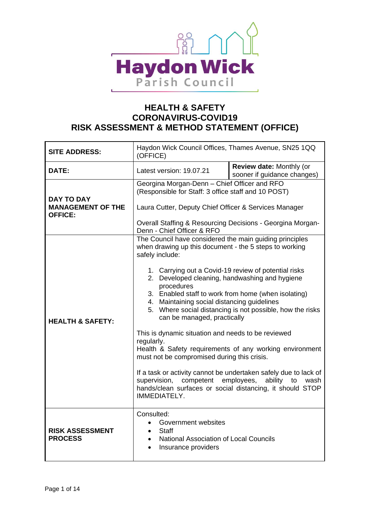

| <b>SITE ADDRESS:</b>                                            | Haydon Wick Council Offices, Thames Avenue, SN25 1QQ<br>(OFFICE)                                                                                                                                                                                                                                                                                                                                                                                                                                                                                                             |                                                                                                                                                                                                                                                                                |  |  |
|-----------------------------------------------------------------|------------------------------------------------------------------------------------------------------------------------------------------------------------------------------------------------------------------------------------------------------------------------------------------------------------------------------------------------------------------------------------------------------------------------------------------------------------------------------------------------------------------------------------------------------------------------------|--------------------------------------------------------------------------------------------------------------------------------------------------------------------------------------------------------------------------------------------------------------------------------|--|--|
| <b>DATE:</b>                                                    | Latest version: 19.07.21                                                                                                                                                                                                                                                                                                                                                                                                                                                                                                                                                     | Review date: Monthly (or<br>sooner if guidance changes)                                                                                                                                                                                                                        |  |  |
| <b>DAY TO DAY</b><br><b>MANAGEMENT OF THE</b><br><b>OFFICE:</b> | Georgina Morgan-Denn - Chief Officer and RFO<br>(Responsible for Staff: 3 office staff and 10 POST)<br>Laura Cutter, Deputy Chief Officer & Services Manager<br>Overall Staffing & Resourcing Decisions - Georgina Morgan-<br>Denn - Chief Officer & RFO                                                                                                                                                                                                                                                                                                                     |                                                                                                                                                                                                                                                                                |  |  |
| <b>HEALTH &amp; SAFETY:</b>                                     | The Council have considered the main guiding principles<br>when drawing up this document - the 5 steps to working<br>safely include:<br>1. Carrying out a Covid-19 review of potential risks<br>2. Developed cleaning, handwashing and hygiene<br>procedures<br>3. Enabled staff to work from home (when isolating)<br>4. Maintaining social distancing guidelines<br>can be managed, practically<br>This is dynamic situation and needs to be reviewed<br>regularly.<br>must not be compromised during this crisis.<br>supervision,<br>competent employees,<br>IMMEDIATELY. | 5. Where social distancing is not possible, how the risks<br>Health & Safety requirements of any working environment<br>If a task or activity cannot be undertaken safely due to lack of<br>ability<br>to<br>wash<br>hands/clean surfaces or social distancing, it should STOP |  |  |
| <b>RISK ASSESSMENT</b><br><b>PROCESS</b>                        | Consulted:<br>Government websites<br><b>Staff</b><br>$\bullet$<br><b>National Association of Local Councils</b><br>$\bullet$<br>Insurance providers<br>$\bullet$                                                                                                                                                                                                                                                                                                                                                                                                             |                                                                                                                                                                                                                                                                                |  |  |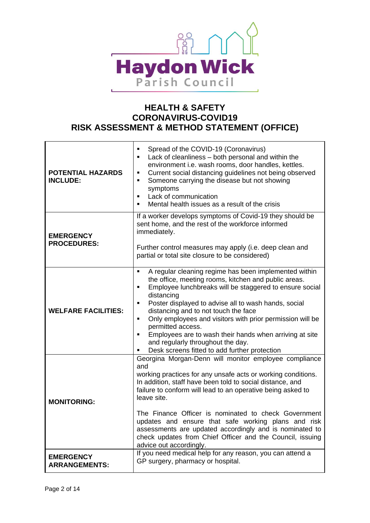

| <b>POTENTIAL HAZARDS</b><br><b>INCLUDE:</b> | Spread of the COVID-19 (Coronavirus)<br>п<br>Lack of cleanliness - both personal and within the<br>п<br>environment i.e. wash rooms, door handles, kettles.<br>Current social distancing guidelines not being observed<br>٠<br>Someone carrying the disease but not showing<br>٠<br>symptoms<br>Lack of communication<br>$\blacksquare$<br>Mental health issues as a result of the crisis<br>٠                                                                                                                                                     |
|---------------------------------------------|----------------------------------------------------------------------------------------------------------------------------------------------------------------------------------------------------------------------------------------------------------------------------------------------------------------------------------------------------------------------------------------------------------------------------------------------------------------------------------------------------------------------------------------------------|
| <b>EMERGENCY</b><br><b>PROCEDURES:</b>      | If a worker develops symptoms of Covid-19 they should be<br>sent home, and the rest of the workforce informed<br>immediately.<br>Further control measures may apply (i.e. deep clean and<br>partial or total site closure to be considered)                                                                                                                                                                                                                                                                                                        |
| <b>WELFARE FACILITIES:</b>                  | A regular cleaning regime has been implemented within<br>٠<br>the office, meeting rooms, kitchen and public areas.<br>Employee lunchbreaks will be staggered to ensure social<br>Е<br>distancing<br>Poster displayed to advise all to wash hands, social<br>٠<br>distancing and to not touch the face<br>Only employees and visitors with prior permission will be<br>٠<br>permitted access.<br>Employees are to wash their hands when arriving at site<br>٠<br>and regularly throughout the day.<br>Desk screens fitted to add further protection |
| <b>MONITORING:</b>                          | Georgina Morgan-Denn will monitor employee compliance<br>and<br>working practices for any unsafe acts or working conditions.<br>In addition, staff have been told to social distance, and<br>failure to conform will lead to an operative being asked to<br>leave site.<br>The Finance Officer is nominated to check Government<br>updates and ensure that safe working plans and risk<br>assessments are updated accordingly and is nominated to<br>check updates from Chief Officer and the Council, issuing<br>advice out accordingly.          |
| <b>EMERGENCY</b><br><b>ARRANGEMENTS:</b>    | If you need medical help for any reason, you can attend a<br>GP surgery, pharmacy or hospital.                                                                                                                                                                                                                                                                                                                                                                                                                                                     |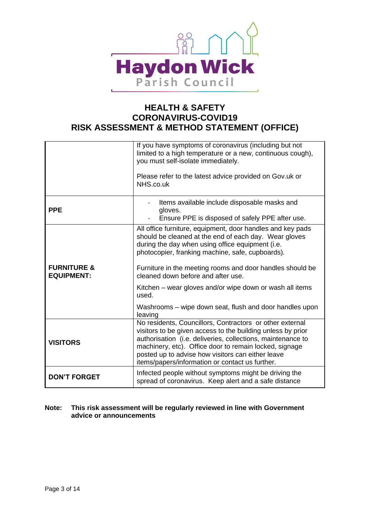

|                                             | If you have symptoms of coronavirus (including but not<br>limited to a high temperature or a new, continuous cough),<br>you must self-isolate immediately.<br>Please refer to the latest advice provided on Gov.uk or<br>NHS.co.uk                                                                                                                                                                                                                                        |
|---------------------------------------------|---------------------------------------------------------------------------------------------------------------------------------------------------------------------------------------------------------------------------------------------------------------------------------------------------------------------------------------------------------------------------------------------------------------------------------------------------------------------------|
| <b>PPE</b>                                  | Items available include disposable masks and<br>gloves.<br>Ensure PPE is disposed of safely PPE after use.                                                                                                                                                                                                                                                                                                                                                                |
| <b>FURNITURE &amp;</b><br><b>EQUIPMENT:</b> | All office furniture, equipment, door handles and key pads<br>should be cleaned at the end of each day. Wear gloves<br>during the day when using office equipment (i.e.<br>photocopier, franking machine, safe, cupboards).<br>Furniture in the meeting rooms and door handles should be<br>cleaned down before and after use.<br>Kitchen – wear gloves and/or wipe down or wash all items<br>used.<br>Washrooms – wipe down seat, flush and door handles upon<br>leaving |
| <b>VISITORS</b>                             | No residents, Councillors, Contractors or other external<br>visitors to be given access to the building unless by prior<br>authorisation (i.e. deliveries, collections, maintenance to<br>machinery, etc). Office door to remain locked, signage<br>posted up to advise how visitors can either leave<br>items/papers/information or contact us further.                                                                                                                  |
| <b>DON'T FORGET</b>                         | Infected people without symptoms might be driving the<br>spread of coronavirus. Keep alert and a safe distance                                                                                                                                                                                                                                                                                                                                                            |

#### **Note: This risk assessment will be regularly reviewed in line with Government advice or announcements**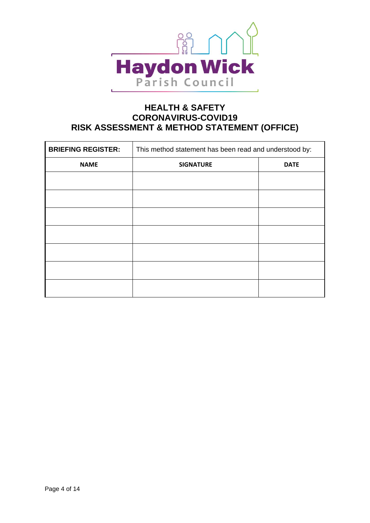

| <b>BRIEFING REGISTER:</b> | This method statement has been read and understood by: |             |  |  |  |  |
|---------------------------|--------------------------------------------------------|-------------|--|--|--|--|
| <b>NAME</b>               | <b>SIGNATURE</b>                                       | <b>DATE</b> |  |  |  |  |
|                           |                                                        |             |  |  |  |  |
|                           |                                                        |             |  |  |  |  |
|                           |                                                        |             |  |  |  |  |
|                           |                                                        |             |  |  |  |  |
|                           |                                                        |             |  |  |  |  |
|                           |                                                        |             |  |  |  |  |
|                           |                                                        |             |  |  |  |  |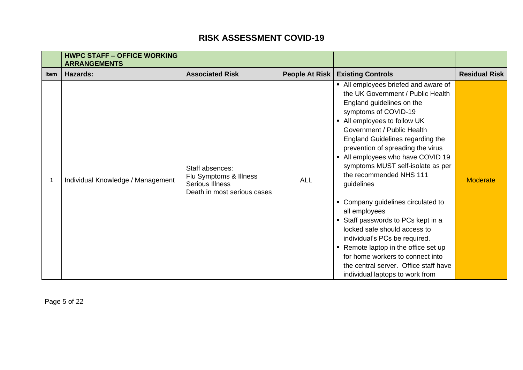|             | <b>HWPC STAFF - OFFICE WORKING</b><br><b>ARRANGEMENTS</b> |                                                                                             |                |                                                                                                                                                                                                                                                                                                                                                                                                                                                                                                                                                                                                                                                                                                                |                      |
|-------------|-----------------------------------------------------------|---------------------------------------------------------------------------------------------|----------------|----------------------------------------------------------------------------------------------------------------------------------------------------------------------------------------------------------------------------------------------------------------------------------------------------------------------------------------------------------------------------------------------------------------------------------------------------------------------------------------------------------------------------------------------------------------------------------------------------------------------------------------------------------------------------------------------------------------|----------------------|
| <b>Item</b> | <b>Hazards:</b>                                           | <b>Associated Risk</b>                                                                      | People At Risk | <b>Existing Controls</b>                                                                                                                                                                                                                                                                                                                                                                                                                                                                                                                                                                                                                                                                                       | <b>Residual Risk</b> |
| 1           | Individual Knowledge / Management                         | Staff absences:<br>Flu Symptoms & Illness<br>Serious Illness<br>Death in most serious cases | <b>ALL</b>     | • All employees briefed and aware of<br>the UK Government / Public Health<br>England guidelines on the<br>symptoms of COVID-19<br>• All employees to follow UK<br>Government / Public Health<br>England Guidelines regarding the<br>prevention of spreading the virus<br>• All employees who have COVID 19<br>symptoms MUST self-isolate as per<br>the recommended NHS 111<br>guidelines<br>• Company guidelines circulated to<br>all employees<br>• Staff passwords to PCs kept in a<br>locked safe should access to<br>individual's PCs be required.<br>• Remote laptop in the office set up<br>for home workers to connect into<br>the central server. Office staff have<br>individual laptops to work from | <b>Moderate</b>      |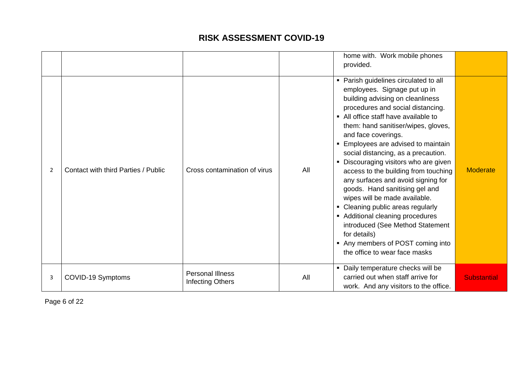|   |                                     |                                             |     | home with. Work mobile phones<br>provided.                                                                                                                                                                                                                                                                                                                                                                                                                                                                                                                                                                                                                                                                                      |                    |
|---|-------------------------------------|---------------------------------------------|-----|---------------------------------------------------------------------------------------------------------------------------------------------------------------------------------------------------------------------------------------------------------------------------------------------------------------------------------------------------------------------------------------------------------------------------------------------------------------------------------------------------------------------------------------------------------------------------------------------------------------------------------------------------------------------------------------------------------------------------------|--------------------|
| 2 | Contact with third Parties / Public | Cross contamination of virus                | All | • Parish guidelines circulated to all<br>employees. Signage put up in<br>building advising on cleanliness<br>procedures and social distancing.<br>• All office staff have available to<br>them: hand sanitiser/wipes, gloves,<br>and face coverings.<br>• Employees are advised to maintain<br>social distancing, as a precaution.<br>• Discouraging visitors who are given<br>access to the building from touching<br>any surfaces and avoid signing for<br>goods. Hand sanitising gel and<br>wipes will be made available.<br>• Cleaning public areas regularly<br>• Additional cleaning procedures<br>introduced (See Method Statement<br>for details)<br>• Any members of POST coming into<br>the office to wear face masks | <b>Moderate</b>    |
| 3 | COVID-19 Symptoms                   | <b>Personal Illness</b><br>Infecting Others | All | • Daily temperature checks will be<br>carried out when staff arrive for<br>work. And any visitors to the office.                                                                                                                                                                                                                                                                                                                                                                                                                                                                                                                                                                                                                | <b>Substantial</b> |

Page 6 of 22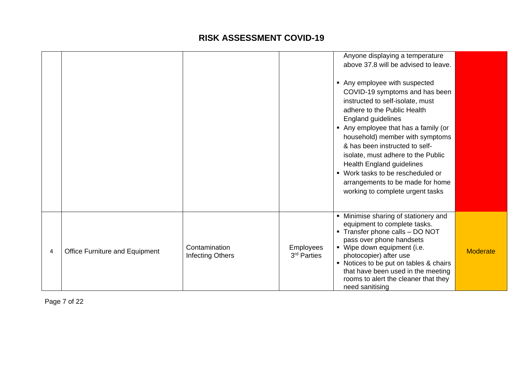|   |                                       |                                   |                                 | Anyone displaying a temperature<br>above 37.8 will be advised to leave.<br>Any employee with suspected<br>COVID-19 symptoms and has been<br>instructed to self-isolate, must<br>adhere to the Public Health<br>England guidelines<br>Any employee that has a family (or<br>household) member with symptoms<br>& has been instructed to self-<br>isolate, must adhere to the Public<br>Health England guidelines<br>■ Work tasks to be rescheduled or<br>arrangements to be made for home<br>working to complete urgent tasks |          |
|---|---------------------------------------|-----------------------------------|---------------------------------|------------------------------------------------------------------------------------------------------------------------------------------------------------------------------------------------------------------------------------------------------------------------------------------------------------------------------------------------------------------------------------------------------------------------------------------------------------------------------------------------------------------------------|----------|
| 4 | <b>Office Furniture and Equipment</b> | Contamination<br>Infecting Others | <b>Employees</b><br>3rd Parties | • Minimise sharing of stationery and<br>equipment to complete tasks.<br>• Transfer phone calls - DO NOT<br>pass over phone handsets<br>• Wipe down equipment (i.e.<br>photocopier) after use<br>Notices to be put on tables & chairs<br>that have been used in the meeting<br>rooms to alert the cleaner that they<br>need sanitising                                                                                                                                                                                        | Moderate |

Page 7 of 22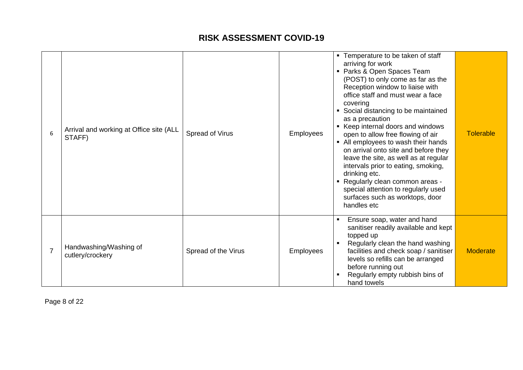| 6              | Arrival and working at Office site (ALL<br>STAFF) | Spread of Virus     | <b>Employees</b> | • Temperature to be taken of staff<br>arriving for work<br>• Parks & Open Spaces Team<br>(POST) to only come as far as the<br>Reception window to liaise with<br>office staff and must wear a face<br>covering<br>• Social distancing to be maintained<br>as a precaution<br>■ Keep internal doors and windows<br>open to allow free flowing of air<br>• All employees to wash their hands<br>on arrival onto site and before they<br>leave the site, as well as at regular<br>intervals prior to eating, smoking,<br>drinking etc.<br>- Regularly clean common areas -<br>special attention to regularly used<br>surfaces such as worktops, door<br>handles etc | <b>Tolerable</b> |
|----------------|---------------------------------------------------|---------------------|------------------|------------------------------------------------------------------------------------------------------------------------------------------------------------------------------------------------------------------------------------------------------------------------------------------------------------------------------------------------------------------------------------------------------------------------------------------------------------------------------------------------------------------------------------------------------------------------------------------------------------------------------------------------------------------|------------------|
| $\overline{7}$ | Handwashing/Washing of<br>cutlery/crockery        | Spread of the Virus | <b>Employees</b> | Ensure soap, water and hand<br>sanitiser readily available and kept<br>topped up<br>Regularly clean the hand washing<br>facilities and check soap / sanitiser<br>levels so refills can be arranged<br>before running out<br>Regularly empty rubbish bins of<br>hand towels                                                                                                                                                                                                                                                                                                                                                                                       | <b>Moderate</b>  |

Page 8 of 22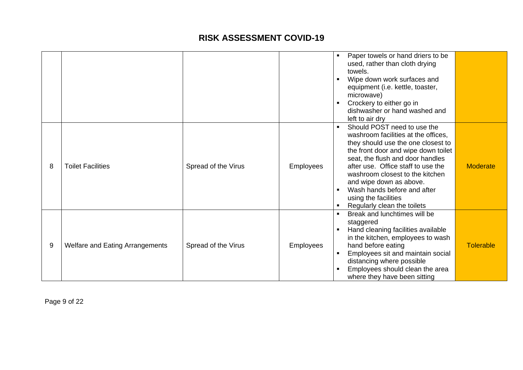|   |                                        |                     |                  |                | Paper towels or hand driers to be                                      |                  |
|---|----------------------------------------|---------------------|------------------|----------------|------------------------------------------------------------------------|------------------|
|   |                                        |                     |                  |                | used, rather than cloth drying                                         |                  |
|   |                                        |                     |                  |                | towels.                                                                |                  |
|   |                                        |                     |                  | $\blacksquare$ | Wipe down work surfaces and                                            |                  |
|   |                                        |                     |                  |                | equipment (i.e. kettle, toaster,                                       |                  |
|   |                                        |                     |                  |                | microwave)                                                             |                  |
|   |                                        |                     |                  |                | Crockery to either go in                                               |                  |
|   |                                        |                     |                  |                | dishwasher or hand washed and                                          |                  |
|   |                                        |                     |                  |                | left to air dry                                                        |                  |
|   |                                        |                     |                  |                | Should POST need to use the                                            |                  |
|   |                                        |                     |                  |                | washroom facilities at the offices,                                    |                  |
|   |                                        |                     |                  |                | they should use the one closest to                                     |                  |
|   |                                        |                     |                  |                | the front door and wipe down toilet                                    |                  |
| 8 | <b>Toilet Facilities</b>               |                     |                  |                | seat, the flush and door handles<br>after use. Office staff to use the | <b>Moderate</b>  |
|   |                                        | Spread of the Virus | <b>Employees</b> |                | washroom closest to the kitchen                                        |                  |
|   |                                        |                     |                  |                | and wipe down as above.                                                |                  |
|   |                                        |                     |                  |                | Wash hands before and after                                            |                  |
|   |                                        |                     |                  |                | using the facilities                                                   |                  |
|   |                                        |                     |                  |                | Regularly clean the toilets                                            |                  |
|   |                                        |                     |                  |                | Break and lunchtimes will be                                           |                  |
|   |                                        |                     |                  |                | staggered                                                              |                  |
|   |                                        |                     |                  |                | Hand cleaning facilities available                                     |                  |
|   |                                        |                     |                  |                | in the kitchen, employees to wash                                      |                  |
| 9 | <b>Welfare and Eating Arrangements</b> | Spread of the Virus | <b>Employees</b> |                | hand before eating                                                     | <b>Tolerable</b> |
|   |                                        |                     |                  |                | Employees sit and maintain social                                      |                  |
|   |                                        |                     |                  |                | distancing where possible                                              |                  |
|   |                                        |                     |                  |                | Employees should clean the area                                        |                  |
|   |                                        |                     |                  |                | where they have been sitting                                           |                  |

Page 9 of 22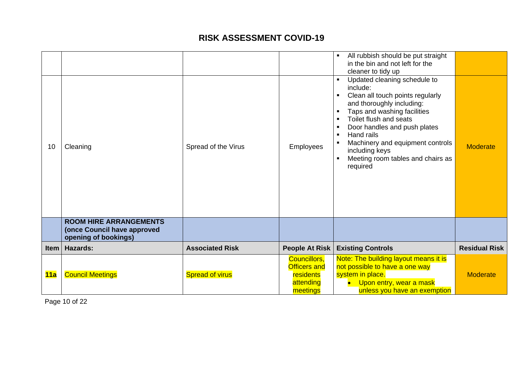| 10          | Cleaning<br><b>ROOM HIRE ARRANGEMENTS</b>           | Spread of the Virus    | <b>Employees</b>      | Updated cleaning schedule to<br>include:<br>Clean all touch points regularly<br>and thoroughly including:<br>Taps and washing facilities<br>Toilet flush and seats<br>Door handles and push plates<br>Hand rails<br>Machinery and equipment controls<br>including keys<br>Meeting room tables and chairs as<br>required | <b>Moderate</b>      |
|-------------|-----------------------------------------------------|------------------------|-----------------------|-------------------------------------------------------------------------------------------------------------------------------------------------------------------------------------------------------------------------------------------------------------------------------------------------------------------------|----------------------|
|             | (once Council have approved<br>opening of bookings) |                        |                       |                                                                                                                                                                                                                                                                                                                         |                      |
|             | <b>Hazards:</b>                                     | <b>Associated Risk</b> | <b>People At Risk</b> | <b>Existing Controls</b>                                                                                                                                                                                                                                                                                                | <b>Residual Risk</b> |
| <b>Item</b> |                                                     |                        |                       |                                                                                                                                                                                                                                                                                                                         |                      |

Page 10 of 22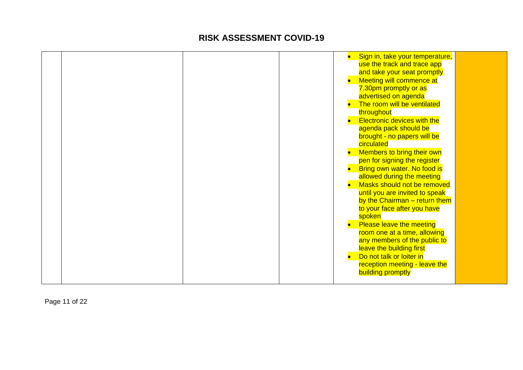|  |  | Sign in, take your temperature,<br>use the track and trace app<br>and take your seat promptly<br>Meeting will commence at<br>7.30pm promptly or as<br>advertised on agenda<br>The room will be ventilated<br>throughout<br>• Electronic devices with the<br>agenda pack should be<br>brought - no papers will be<br>circulated<br>Members to bring their own<br>pen for signing the register<br>Bring own water. No food is<br>allowed during the meeting<br>Masks should not be removed<br>until you are invited to speak<br>by the Chairman - return them<br>to your face after you have<br>spoken<br><b>Please leave the meeting</b><br>room one at a time, allowing<br>any members of the public to<br>leave the building first<br>Do not talk or loiter in<br>reception meeting - leave the |
|--|--|--------------------------------------------------------------------------------------------------------------------------------------------------------------------------------------------------------------------------------------------------------------------------------------------------------------------------------------------------------------------------------------------------------------------------------------------------------------------------------------------------------------------------------------------------------------------------------------------------------------------------------------------------------------------------------------------------------------------------------------------------------------------------------------------------|
|  |  | <b>building promptly</b>                                                                                                                                                                                                                                                                                                                                                                                                                                                                                                                                                                                                                                                                                                                                                                         |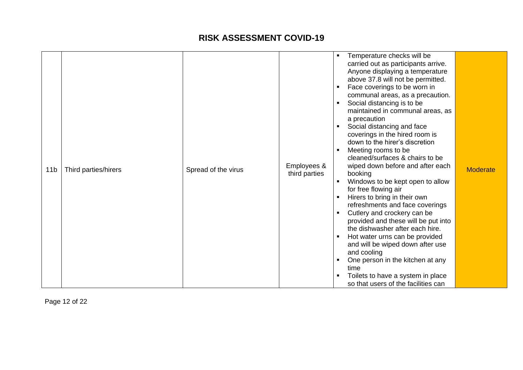| 11 <sub>b</sub> | Third parties/hirers | Spread of the virus | Employees &<br>third parties | $\blacksquare$<br>٠<br>$\blacksquare$<br>$\blacksquare$ | Temperature checks will be<br>carried out as participants arrive.<br>Anyone displaying a temperature<br>above 37.8 will not be permitted.<br>Face coverings to be worn in<br>communal areas, as a precaution.<br>Social distancing is to be<br>maintained in communal areas, as<br>a precaution<br>Social distancing and face<br>coverings in the hired room is<br>down to the hirer's discretion<br>Meeting rooms to be<br>cleaned/surfaces & chairs to be<br>wiped down before and after each<br>booking<br>Windows to be kept open to allow<br>for free flowing air<br>Hirers to bring in their own<br>refreshments and face coverings<br>Cutlery and crockery can be<br>provided and these will be put into<br>the dishwasher after each hire.<br>Hot water urns can be provided<br>and will be wiped down after use<br>and cooling<br>One person in the kitchen at any<br>time | <b>Moderate</b> |
|-----------------|----------------------|---------------------|------------------------------|---------------------------------------------------------|-------------------------------------------------------------------------------------------------------------------------------------------------------------------------------------------------------------------------------------------------------------------------------------------------------------------------------------------------------------------------------------------------------------------------------------------------------------------------------------------------------------------------------------------------------------------------------------------------------------------------------------------------------------------------------------------------------------------------------------------------------------------------------------------------------------------------------------------------------------------------------------|-----------------|
|                 |                      |                     |                              |                                                         | Toilets to have a system in place<br>so that users of the facilities can                                                                                                                                                                                                                                                                                                                                                                                                                                                                                                                                                                                                                                                                                                                                                                                                            |                 |

Page 12 of 22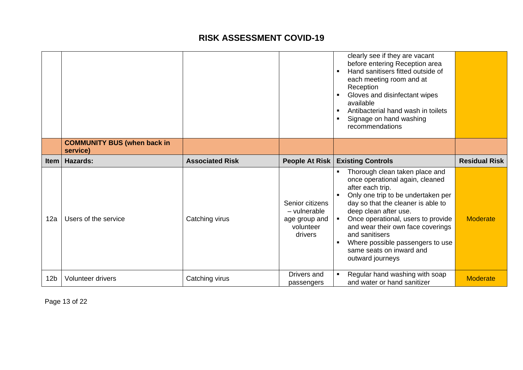|                 |                                                |                        |                                                                          | clearly see if they are vacant<br>before entering Reception area<br>Hand sanitisers fitted outside of<br>$\blacksquare$<br>each meeting room and at<br>Reception<br>Gloves and disinfectant wipes<br>$\blacksquare$<br>available<br>Antibacterial hand wash in toilets<br>$\blacksquare$<br>Signage on hand washing<br>$\blacksquare$<br>recommendations                                                         |
|-----------------|------------------------------------------------|------------------------|--------------------------------------------------------------------------|------------------------------------------------------------------------------------------------------------------------------------------------------------------------------------------------------------------------------------------------------------------------------------------------------------------------------------------------------------------------------------------------------------------|
|                 | <b>COMMUNITY BUS (when back in</b><br>service) |                        |                                                                          |                                                                                                                                                                                                                                                                                                                                                                                                                  |
| <b>Item</b>     | <b>Hazards:</b>                                | <b>Associated Risk</b> | People At Risk                                                           | <b>Residual Risk</b><br><b>Existing Controls</b>                                                                                                                                                                                                                                                                                                                                                                 |
| 12a             | Users of the service                           | Catching virus         | Senior citizens<br>- vulnerable<br>age group and<br>volunteer<br>drivers | Thorough clean taken place and<br>once operational again, cleaned<br>after each trip.<br>Only one trip to be undertaken per<br>day so that the cleaner is able to<br>deep clean after use.<br>Once operational, users to provide<br><b>Moderate</b><br>and wear their own face coverings<br>and sanitisers<br>Where possible passengers to use<br>$\blacksquare$<br>same seats on inward and<br>outward journeys |
| 12 <sub>b</sub> | <b>Volunteer drivers</b>                       | Catching virus         | Drivers and<br>passengers                                                | Regular hand washing with soap<br><b>Moderate</b><br>and water or hand sanitizer                                                                                                                                                                                                                                                                                                                                 |

Page 13 of 22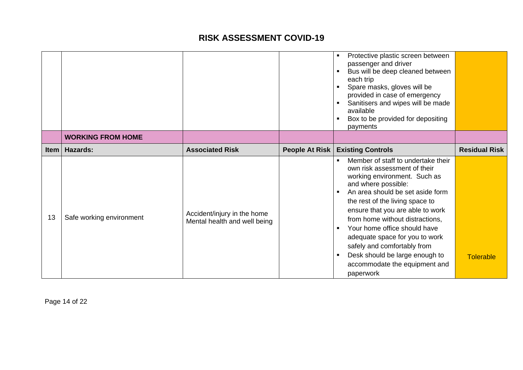|          |                          |                                                             |                | Protective plastic screen between<br>$\blacksquare$<br>passenger and driver<br>Bus will be deep cleaned between<br>each trip<br>Spare masks, gloves will be<br>provided in case of emergency<br>Sanitisers and wipes will be made<br>available<br>Box to be provided for depositing<br>$\blacksquare$<br>payments                                                                                                                                                                            |                      |
|----------|--------------------------|-------------------------------------------------------------|----------------|----------------------------------------------------------------------------------------------------------------------------------------------------------------------------------------------------------------------------------------------------------------------------------------------------------------------------------------------------------------------------------------------------------------------------------------------------------------------------------------------|----------------------|
|          | <b>WORKING FROM HOME</b> |                                                             |                |                                                                                                                                                                                                                                                                                                                                                                                                                                                                                              |                      |
| Item $ $ | Hazards:                 | <b>Associated Risk</b>                                      | People At Risk | <b>Existing Controls</b>                                                                                                                                                                                                                                                                                                                                                                                                                                                                     | <b>Residual Risk</b> |
| 13       | Safe working environment | Accident/injury in the home<br>Mental health and well being |                | Member of staff to undertake their<br>own risk assessment of their<br>working environment. Such as<br>and where possible:<br>An area should be set aside form<br>$\blacksquare$<br>the rest of the living space to<br>ensure that you are able to work<br>from home without distractions,<br>Your home office should have<br>$\blacksquare$<br>adequate space for you to work<br>safely and comfortably from<br>Desk should be large enough to<br>accommodate the equipment and<br>paperwork | <b>Tolerable</b>     |

Page 14 of 22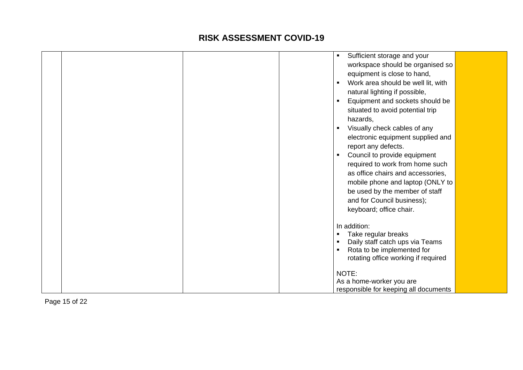|  |  | Sufficient storage and your<br>٠                  |  |
|--|--|---------------------------------------------------|--|
|  |  | workspace should be organised so                  |  |
|  |  | equipment is close to hand,                       |  |
|  |  | Work area should be well lit, with                |  |
|  |  | natural lighting if possible,                     |  |
|  |  | Equipment and sockets should be<br>$\blacksquare$ |  |
|  |  | situated to avoid potential trip                  |  |
|  |  | hazards,                                          |  |
|  |  | Visually check cables of any<br>٠                 |  |
|  |  | electronic equipment supplied and                 |  |
|  |  | report any defects.                               |  |
|  |  | Council to provide equipment                      |  |
|  |  | required to work from home such                   |  |
|  |  | as office chairs and accessories,                 |  |
|  |  | mobile phone and laptop (ONLY to                  |  |
|  |  | be used by the member of staff                    |  |
|  |  | and for Council business);                        |  |
|  |  | keyboard; office chair.                           |  |
|  |  |                                                   |  |
|  |  | In addition:                                      |  |
|  |  | Take regular breaks                               |  |
|  |  | Daily staff catch ups via Teams                   |  |
|  |  | Rota to be implemented for                        |  |
|  |  | rotating office working if required               |  |
|  |  | NOTE:                                             |  |
|  |  | As a home-worker you are                          |  |
|  |  | responsible for keeping all documents             |  |

Page 15 of 22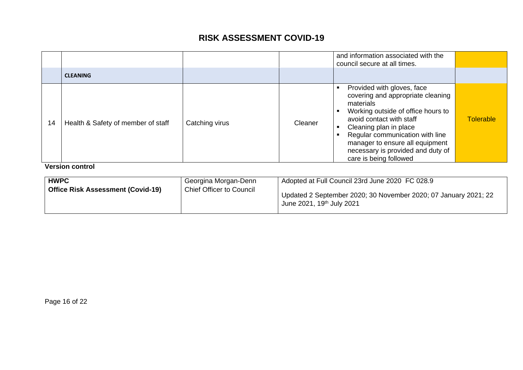|    | <b>CLEANING</b>                                              |                |         | and information associated with the<br>council secure at all times.                                                                                         |                  |
|----|--------------------------------------------------------------|----------------|---------|-------------------------------------------------------------------------------------------------------------------------------------------------------------|------------------|
|    |                                                              |                |         | Provided with gloves, face<br>п<br>covering and appropriate cleaning<br>materials<br>Working outside of office hours to<br>avoid contact with staff         | <b>Tolerable</b> |
| 14 | Health & Safety of member of staff<br><i>Marajan agnival</i> | Catching virus | Cleaner | Cleaning plan in place<br>Regular communication with line<br>manager to ensure all equipment<br>necessary is provided and duty of<br>care is being followed |                  |

**Version control** 

| <b>HWPC</b>                              | Georgina Morgan-Denn            | Adopted at Full Council 23rd June 2020 FC 028.9                                                          |
|------------------------------------------|---------------------------------|----------------------------------------------------------------------------------------------------------|
| <b>Office Risk Assessment (Covid-19)</b> | <b>Chief Officer to Council</b> | Updated 2 September 2020; 30 November 2020; 07 January 2021; 22<br>June 2021, 19 <sup>th</sup> July 2021 |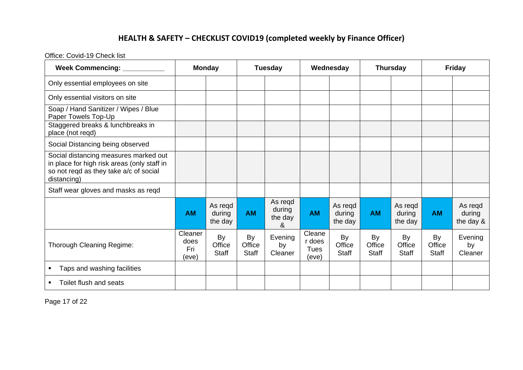# **HEALTH & SAFETY – CHECKLIST COVID19 (completed weekly by Finance Officer)**

Office: Covid-19 Check list

| Week Commencing: ___________<br><b>Monday</b>                                                                                                 |                                 |                              | <b>Tuesday</b>               |                                   | Wednesday                         |                              | <b>Thursday</b>              |                              | <b>Friday</b>                |                                |
|-----------------------------------------------------------------------------------------------------------------------------------------------|---------------------------------|------------------------------|------------------------------|-----------------------------------|-----------------------------------|------------------------------|------------------------------|------------------------------|------------------------------|--------------------------------|
| Only essential employees on site                                                                                                              |                                 |                              |                              |                                   |                                   |                              |                              |                              |                              |                                |
| Only essential visitors on site                                                                                                               |                                 |                              |                              |                                   |                                   |                              |                              |                              |                              |                                |
| Soap / Hand Sanitizer / Wipes / Blue<br>Paper Towels Top-Up                                                                                   |                                 |                              |                              |                                   |                                   |                              |                              |                              |                              |                                |
| Staggered breaks & lunchbreaks in<br>place (not reqd)                                                                                         |                                 |                              |                              |                                   |                                   |                              |                              |                              |                              |                                |
| Social Distancing being observed                                                                                                              |                                 |                              |                              |                                   |                                   |                              |                              |                              |                              |                                |
| Social distancing measures marked out<br>in place for high risk areas (only staff in<br>so not reqd as they take a/c of social<br>distancing) |                                 |                              |                              |                                   |                                   |                              |                              |                              |                              |                                |
| Staff wear gloves and masks as reqd                                                                                                           |                                 |                              |                              |                                   |                                   |                              |                              |                              |                              |                                |
|                                                                                                                                               | <b>AM</b>                       | As regd<br>during<br>the day | <b>AM</b>                    | As regd<br>during<br>the day<br>& | <b>AM</b>                         | As regd<br>during<br>the day | <b>AM</b>                    | As regd<br>during<br>the day | <b>AM</b>                    | As regd<br>during<br>the day & |
| <b>Thorough Cleaning Regime:</b>                                                                                                              | Cleaner<br>does<br>Fri<br>(eve) | By<br>Office<br><b>Staff</b> | By<br>Office<br><b>Staff</b> | Evening<br>by<br>Cleaner          | Cleane<br>r does<br>Tues<br>(eve) | By<br>Office<br><b>Staff</b> | By<br>Office<br><b>Staff</b> | By<br>Office<br><b>Staff</b> | By<br>Office<br><b>Staff</b> | Evening<br>by<br>Cleaner       |
| Taps and washing facilities                                                                                                                   |                                 |                              |                              |                                   |                                   |                              |                              |                              |                              |                                |
| Toilet flush and seats<br>٠                                                                                                                   |                                 |                              |                              |                                   |                                   |                              |                              |                              |                              |                                |

Page 17 of 22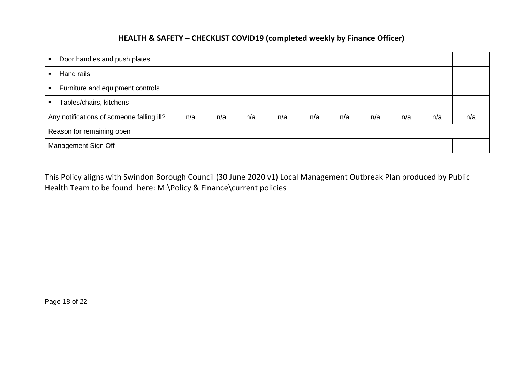#### **HEALTH & SAFETY – CHECKLIST COVID19 (completed weekly by Finance Officer)**

| Door handles and push plates<br>٠                  |     |     |     |     |     |     |     |     |     |     |
|----------------------------------------------------|-----|-----|-----|-----|-----|-----|-----|-----|-----|-----|
| Hand rails                                         |     |     |     |     |     |     |     |     |     |     |
| Furniture and equipment controls<br>$\blacksquare$ |     |     |     |     |     |     |     |     |     |     |
| Tables/chairs, kitchens<br>٠                       |     |     |     |     |     |     |     |     |     |     |
| Any notifications of someone falling ill?          | n/a | n/a | n/a | n/a | n/a | n/a | n/a | n/a | n/a | n/a |
| Reason for remaining open                          |     |     |     |     |     |     |     |     |     |     |
| Management Sign Off                                |     |     |     |     |     |     |     |     |     |     |

This Policy aligns with Swindon Borough Council (30 June 2020 v1) Local Management Outbreak Plan produced by Public Health Team to be found here: M:\Policy & Finance\current policies

Page 18 of 22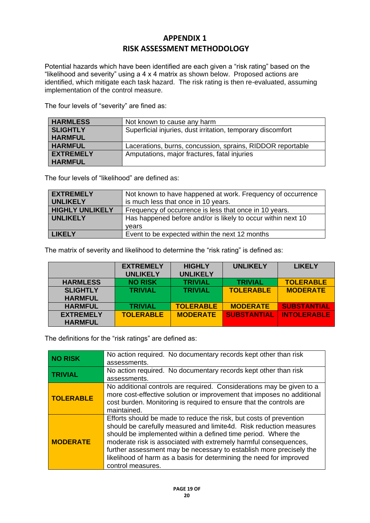#### **APPENDIX 1 RISK ASSESSMENT METHODOLOGY**

Potential hazards which have been identified are each given a "risk rating" based on the "likelihood and severity" using a 4 x 4 matrix as shown below. Proposed actions are identified, which mitigate each task hazard. The risk rating is then re-evaluated, assuming implementation of the control measure.

The four levels of "severity" are fined as:

| <b>HARMLESS</b>  | Not known to cause any harm                                 |
|------------------|-------------------------------------------------------------|
| <b>SLIGHTLY</b>  | Superficial injuries, dust irritation, temporary discomfort |
| <b>HARMFUL</b>   |                                                             |
| <b>HARMFUL</b>   | Lacerations, burns, concussion, sprains, RIDDOR reportable  |
| <b>EXTREMELY</b> | Amputations, major fractures, fatal injuries                |
| <b>HARMFUL</b>   |                                                             |

The four levels of "likelihood" are defined as:

| <b>EXTREMELY</b>       | Not known to have happened at work. Frequency of occurrence  |
|------------------------|--------------------------------------------------------------|
| <b>UNLIKELY</b>        | is much less that once in 10 years.                          |
| <b>HIGHLY UNLIKELY</b> | Frequency of occurrence is less that once in 10 years.       |
| <b>UNLIKELY</b>        | Has happened before and/or is likely to occur within next 10 |
|                        | vears                                                        |
| <b>LIKELY</b>          | Event to be expected within the next 12 months               |

The matrix of severity and likelihood to determine the "risk rating" is defined as:

|                  | <b>EXTREMELY</b> | <b>HIGHLY</b>    | <b>UNLIKELY</b>    | <b>LIKELY</b>      |
|------------------|------------------|------------------|--------------------|--------------------|
|                  | <b>UNLIKELY</b>  | <b>UNLIKELY</b>  |                    |                    |
| <b>HARMLESS</b>  | <b>NO RISK</b>   | <b>TRIVIAL</b>   | <b>TRIVIAL</b>     | <b>TOLERABLE</b>   |
| <b>SLIGHTLY</b>  | <b>TRIVIAL</b>   | <b>TRIVIAL</b>   | <b>TOLERABLE</b>   | <b>MODERATE</b>    |
| <b>HARMFUL</b>   |                  |                  |                    |                    |
| <b>HARMFUL</b>   | <b>TRIVIAL</b>   | <b>TOLERABLE</b> | <b>MODERATE</b>    | <b>SUBSTANTIAL</b> |
| <b>EXTREMELY</b> | <b>TOLERABLE</b> | <b>MODERATE</b>  | <b>SUBSTANTIAL</b> | <b>INTOLERABLE</b> |
| <b>HARMFUL</b>   |                  |                  |                    |                    |

The definitions for the "risk ratings" are defined as:

| <b>NO RISK</b>   | No action required. No documentary records kept other than risk<br>assessments.                                                                                                                                                                                                                                                                                                                                                                  |
|------------------|--------------------------------------------------------------------------------------------------------------------------------------------------------------------------------------------------------------------------------------------------------------------------------------------------------------------------------------------------------------------------------------------------------------------------------------------------|
| <b>TRIVIAL</b>   | No action required. No documentary records kept other than risk<br>assessments.                                                                                                                                                                                                                                                                                                                                                                  |
| <b>TOLERABLE</b> | No additional controls are required. Considerations may be given to a<br>more cost-effective solution or improvement that imposes no additional<br>cost burden. Monitoring is required to ensure that the controls are<br>maintained.                                                                                                                                                                                                            |
| <b>MODERATE</b>  | Efforts should be made to reduce the risk, but costs of prevention<br>should be carefully measured and limite4d. Risk reduction measures<br>should be implemented within a defined time period. Where the<br>moderate risk is associated with extremely harmful consequences,<br>further assessment may be necessary to establish more precisely the<br>likelihood of harm as a basis for determining the need for improved<br>control measures. |